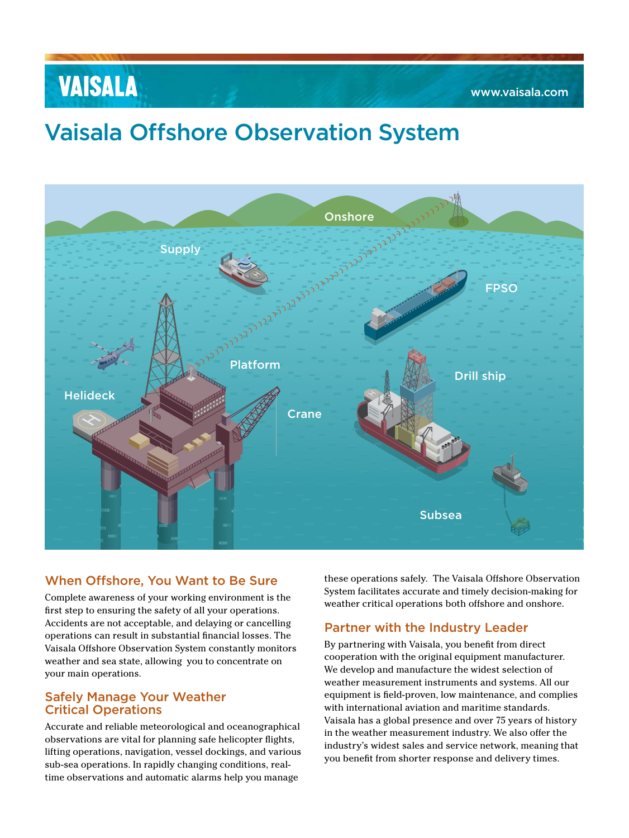# **VAISALA**

# Vaisala Offshore Observation System



### When Offshore, You Want to Be Sure

Complete awareness of your working environment is the first step to ensuring the safety of all your operations. Accidents are not acceptable, and delaying or cancelling operations can result in substantial financial losses. The Vaisala Offshore Observation System constantly monitors weather and sea state, allowing you to concentrate on your main operations.

#### Safely Manage Your Weather Critical Operations

Accurate and reliable meteorological and oceanographical observations are vital for planning safe helicopter flights, lifting operations, navigation, vessel dockings, and various sub-sea operations. In rapidly changing conditions, realtime observations and automatic alarms help you manage

these operations safely. The Vaisala Offshore Observation System facilitates accurate and timely decision-making for weather critical operations both offshore and onshore.

### Partner with the Industry Leader

By partnering with Vaisala, you benefit from direct cooperation with the original equipment manufacturer. We develop and manufacture the widest selection of weather measurement instruments and systems. All our equipment is field-proven, low maintenance, and complies with international aviation and maritime standards. Vaisala has a global presence and over 75 years of history in the weather measurement industry. We also offer the industry's widest sales and service network, meaning that you benefit from shorter response and delivery times.